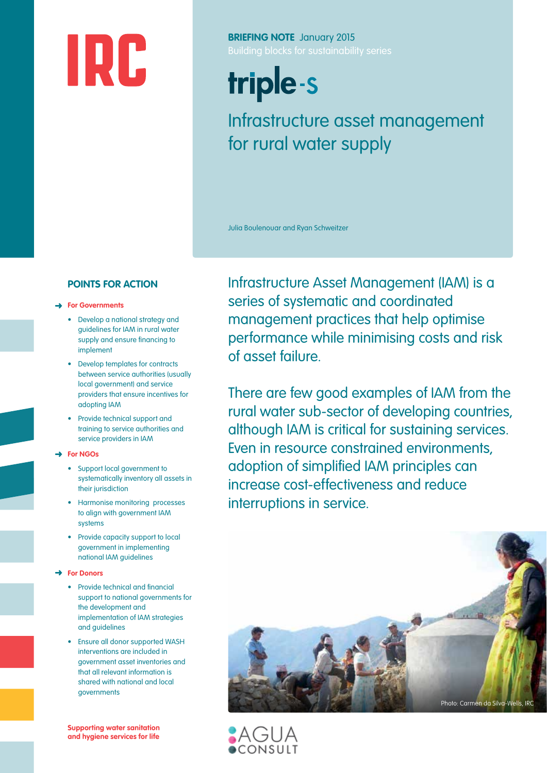# IRC

**BRIEFING NOTE** January 2015

# triple-s

## Infrastructure asset management for rural water supply

Julia Boulenouar and Ryan Schweitzer

#### **POINTS FOR ACTION**

#### ➜ **For Governments**

- Develop a national strategy and guidelines for IAM in rural water supply and ensure financing to implement
- Develop templates for contracts between service authorities (usually local government) and service providers that ensure incentives for adopting IAM
- Provide technical support and training to service authorities and service providers in IAM
- ➜ **For NGOs**
	- Support local government to systematically inventory all assets in their jurisdiction
	- Harmonise monitoring processes to align with government IAM systems
	- Provide capacity support to local government in implementing national IAM guidelines

#### ➜ **For Donors**

- Provide technical and financial support to national governments for the development and implementation of IAM strategies and guidelines
- Ensure all donor supported WASH interventions are included in government asset inventories and that all relevant information is shared with national and local governments

**Supporting water sanitation and hygiene services for life** Infrastructure Asset Management (IAM) is a series of systematic and coordinated management practices that help optimise performance while minimising costs and risk of asset failure.

There are few good examples of IAM from the rural water sub-sector of developing countries, although IAM is critical for sustaining services. Even in resource constrained environments, adoption of simplified IAM principles can increase cost-effectiveness and reduce interruptions in service.



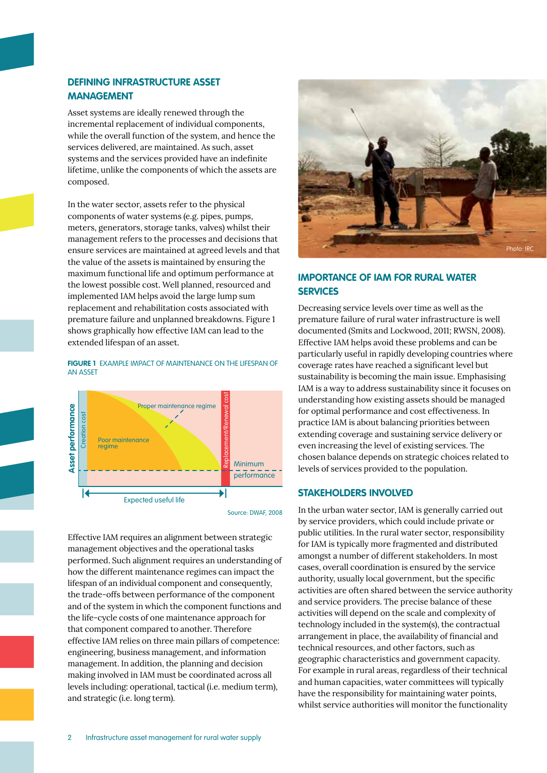#### **DEFINING INFRASTRUCTURE ASSET MANAGEMENT**

Asset systems are ideally renewed through the incremental replacement of individual components, while the overall function of the system, and hence the services delivered, are maintained. As such, asset systems and the services provided have an indefinite lifetime, unlike the components of which the assets are composed.

In the water sector, assets refer to the physical components of water systems (e.g. pipes, pumps, meters, generators, storage tanks, valves) whilst their management refers to the processes and decisions that ensure services are maintained at agreed levels and that the value of the assets is maintained by ensuring the maximum functional life and optimum performance at the lowest possible cost. Well planned, resourced and implemented IAM helps avoid the large lump sum replacement and rehabilitation costs associated with premature failure and unplanned breakdowns. Figure 1 shows graphically how effective IAM can lead to the extended lifespan of an asset.

#### **FIGURE 1** EXAMPLE IMPACT OF MAINTENANCE ON THE LIFESPAN OF AN ASSET



Source: DWAF, 2008

Effective IAM requires an alignment between strategic management objectives and the operational tasks performed. Such alignment requires an understanding of how the different maintenance regimes can impact the lifespan of an individual component and consequently, the trade-offs between performance of the component and of the system in which the component functions and the life-cycle costs of one maintenance approach for that component compared to another. Therefore effective IAM relies on three main pillars of competence: engineering, business management, and information management. In addition, the planning and decision making involved in IAM must be coordinated across all levels including: operational, tactical (i.e. medium term), and strategic (i.e. long term).



#### **IMPORTANCE OF IAM FOR RURAL WATER SERVICES**

Decreasing service levels over time as well as the premature failure of rural water infrastructure is well documented (Smits and Lockwood, 2011; RWSN, 2008). Effective IAM helps avoid these problems and can be particularly useful in rapidly developing countries where coverage rates have reached a significant level but sustainability is becoming the main issue. Emphasising IAM is a way to address sustainability since it focuses on understanding how existing assets should be managed for optimal performance and cost effectiveness. In practice IAM is about balancing priorities between extending coverage and sustaining service delivery or even increasing the level of existing services. The chosen balance depends on strategic choices related to levels of services provided to the population.

#### **STAKEHOLDERS INVOLVED**

In the urban water sector, IAM is generally carried out by service providers, which could include private or public utilities. In the rural water sector, responsibility for IAM is typically more fragmented and distributed amongst a number of different stakeholders. In most cases, overall coordination is ensured by the service authority, usually local government, but the specific activities are often shared between the service authority and service providers. The precise balance of these activities will depend on the scale and complexity of technology included in the system(s), the contractual arrangement in place, the availability of financial and technical resources, and other factors, such as geographic characteristics and government capacity. For example in rural areas, regardless of their technical and human capacities, water committees will typically have the responsibility for maintaining water points, whilst service authorities will monitor the functionality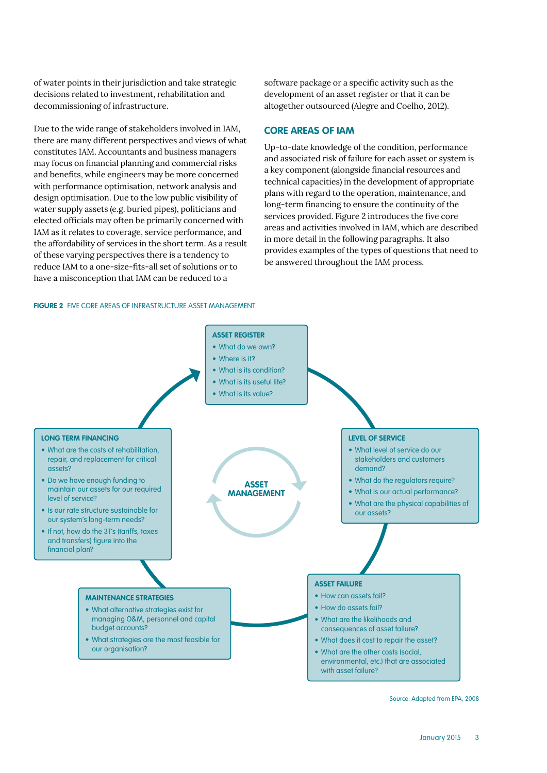of water points in their jurisdiction and take strategic decisions related to investment, rehabilitation and decommissioning of infrastructure.

Due to the wide range of stakeholders involved in IAM, there are many different perspectives and views of what constitutes IAM. Accountants and business managers may focus on financial planning and commercial risks and benefits, while engineers may be more concerned with performance optimisation, network analysis and design optimisation. Due to the low public visibility of water supply assets (e.g. buried pipes), politicians and elected officials may often be primarily concerned with IAM as it relates to coverage, service performance, and the affordability of services in the short term. As a result of these varying perspectives there is a tendency to reduce IAM to a one-size-fits-all set of solutions or to have a misconception that IAM can be reduced to a

software package or a specific activity such as the development of an asset register or that it can be altogether outsourced (Alegre and Coelho, 2012).

#### **CORE AREAS OF IAM**

Up-to-date knowledge of the condition, performance and associated risk of failure for each asset or system is a key component (alongside financial resources and technical capacities) in the development of appropriate plans with regard to the operation, maintenance, and long-term financing to ensure the continuity of the services provided. Figure 2 introduces the five core areas and activities involved in IAM, which are described in more detail in the following paragraphs. It also provides examples of the types of questions that need to be answered throughout the IAM process.

#### **FIGURE 2** FIVE CORE AREAS OF INFRASTRUCTURE ASSET MANAGEMENT



Source: Adapted from EPA, 2008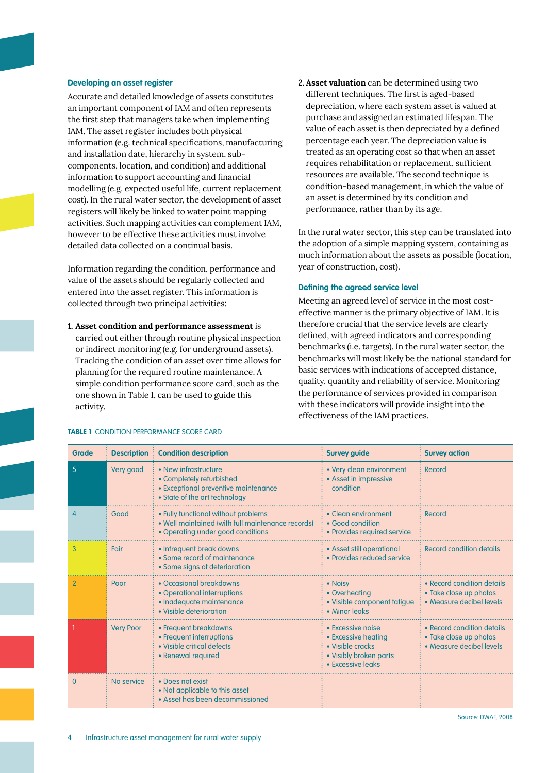#### **Developing an asset register**

Accurate and detailed knowledge of assets constitutes an important component of IAM and often represents the first step that managers take when implementing IAM. The asset register includes both physical information (e.g. technical specifications, manufacturing and installation date, hierarchy in system, subcomponents, location, and condition) and additional information to support accounting and financial modelling (e.g. expected useful life, current replacement cost). In the rural water sector, the development of asset registers will likely be linked to water point mapping activities. Such mapping activities can complement IAM, however to be effective these activities must involve detailed data collected on a continual basis.

Information regarding the condition, performance and value of the assets should be regularly collected and entered into the asset register. This information is collected through two principal activities:

**1. Asset condition and performance assessment** is carried out either through routine physical inspection or indirect monitoring (e.g. for underground assets). Tracking the condition of an asset over time allows for planning for the required routine maintenance. A simple condition performance score card, such as the one shown in Table 1, can be used to guide this activity.

**2. Asset valuation** can be determined using two different techniques. The first is aged-based depreciation, where each system asset is valued at purchase and assigned an estimated lifespan. The value of each asset is then depreciated by a defined percentage each year. The depreciation value is treated as an operating cost so that when an asset requires rehabilitation or replacement, sufficient resources are available. The second technique is condition-based management, in which the value of an asset is determined by its condition and performance, rather than by its age.

In the rural water sector, this step can be translated into the adoption of a simple mapping system, containing as much information about the assets as possible (location, year of construction, cost).

#### **Defining the agreed service level**

Meeting an agreed level of service in the most costeffective manner is the primary objective of IAM. It is therefore crucial that the service levels are clearly defined, with agreed indicators and corresponding benchmarks (i.e. targets). In the rural water sector, the benchmarks will most likely be the national standard for basic services with indications of accepted distance, quality, quantity and reliability of service. Monitoring the performance of services provided in comparison with these indicators will provide insight into the effectiveness of the IAM practices.

| <b>Grade</b> | <b>Description</b> | <b>Condition description</b>                                                                                                  | <b>Survey guide</b>                                                                                         | <b>Survey action</b>                                                             |
|--------------|--------------------|-------------------------------------------------------------------------------------------------------------------------------|-------------------------------------------------------------------------------------------------------------|----------------------------------------------------------------------------------|
| 5            | Very good          | • New infrastructure<br>• Completely refurbished<br>• Exceptional preventive maintenance<br>• State of the art technology     | • Very clean environment<br>• Asset in impressive<br>condition                                              | Record                                                                           |
| 4            | Good               | • Fully functional without problems<br>• Well maintained (with full maintenance records)<br>• Operating under good conditions | • Clean environment<br>• Good condition<br>• Provides required service                                      | Record                                                                           |
| 3            | Fair               | • Infrequent break downs<br>• Some record of maintenance<br>• Some signs of deterioration                                     | • Asset still operational<br>• Provides reduced service                                                     | Record condition details                                                         |
| 2            | Poor               | • Occasional breakdowns<br>• Operational interruptions<br>· Inadequate maintenance<br>• Visible deterioration                 | • Noisy<br>• Overheating<br>• Visible component fatigue<br>• Minor leaks                                    | • Record condition details<br>• Take close up photos<br>• Measure decibel levels |
|              | <b>Very Poor</b>   | • Frequent breakdowns<br>• Frequent interruptions<br>• Visible critical defects<br>• Renewal required                         | • Excessive noise<br>• Excessive heating<br>• Visible cracks<br>• Visibly broken parts<br>• Excessive leaks | • Record condition details<br>• Take close up photos<br>• Measure decibel levels |
| $\Omega$     | No service         | • Does not exist<br>• Not applicable to this asset<br>• Asset has been decommissioned                                         |                                                                                                             |                                                                                  |

#### **TABLE 1** CONDITION PERFORMANCE SCORE CARD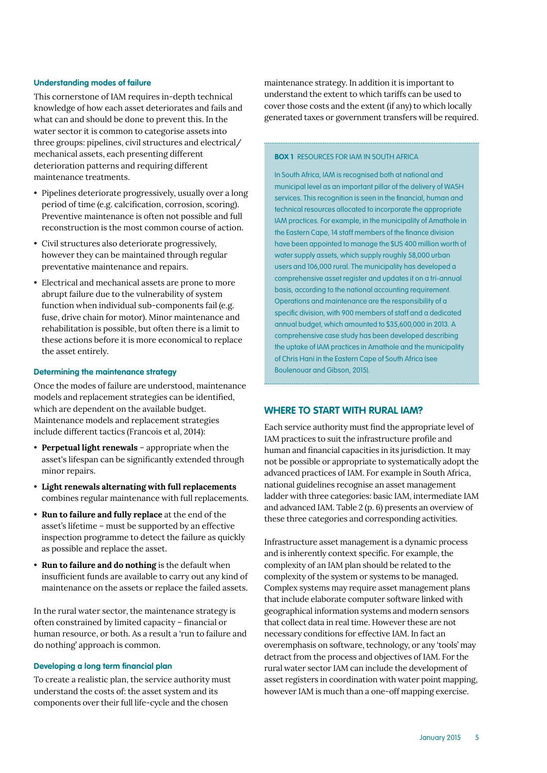#### **Understanding modes of failure**

This cornerstone of IAM requires in-depth technical knowledge of how each asset deteriorates and fails and what can and should be done to prevent this. In the water sector it is common to categorise assets into three groups: pipelines, civil structures and electrical/ mechanical assets, each presenting different deterioration patterns and requiring different maintenance treatments.

- Pipelines deteriorate progressively, usually over a long period of time (e.g. calcification, corrosion, scoring). Preventive maintenance is often not possible and full reconstruction is the most common course of action.
- Civil structures also deteriorate progressively, however they can be maintained through regular preventative maintenance and repairs.
- Electrical and mechanical assets are prone to more abrupt failure due to the vulnerability of system function when individual sub-components fail (e.g. fuse, drive chain for motor). Minor maintenance and rehabilitation is possible, but often there is a limit to these actions before it is more economical to replace the asset entirely.

#### **Determining the maintenance strategy**

Once the modes of failure are understood, maintenance models and replacement strategies can be identified, which are dependent on the available budget. Maintenance models and replacement strategies include different tactics (Francois et al, 2014):

- **Perpetual light renewals** appropriate when the asset's lifespan can be significantly extended through minor repairs.
- **Light renewals alternating with full replacements** combines regular maintenance with full replacements.
- **Run to failure and fully replace** at the end of the asset's lifetime – must be supported by an effective inspection programme to detect the failure as quickly as possible and replace the asset.
- **Run to failure and do nothing** is the default when insufficient funds are available to carry out any kind of maintenance on the assets or replace the failed assets.

In the rural water sector, the maintenance strategy is often constrained by limited capacity – financial or human resource, or both. As a result a 'run to failure and do nothing' approach is common.

#### **Developing a long term financial plan**

To create a realistic plan, the service authority must understand the costs of: the asset system and its components over their full life-cycle and the chosen

maintenance strategy. In addition it is important to understand the extent to which tariffs can be used to cover those costs and the extent (if any) to which locally generated taxes or government transfers will be required.

#### **BOX 1** RESOURCES FOR IAM IN SOUTH AFRICA

In South Africa, IAM is recognised both at national and municipal level as an important pillar of the delivery of WASH services. This recognition is seen in the financial, human and technical resources allocated to incorporate the appropriate IAM practices. For example, in the municipality of Amathole in the Eastern Cape, 14 staff members of the finance division have been appointed to manage the \$US 400 million worth of water supply assets, which supply roughly 58,000 urban users and 106,000 rural. The municipality has developed a comprehensive asset register and updates it on a tri-annual basis, according to the national accounting requirement. Operations and maintenance are the responsibility of a specific division, with 900 members of staff and a dedicated annual budget, which amounted to \$35,600,000 in 2013. A comprehensive case study has been developed describing the uptake of IAM practices in Amathole and the municipality of Chris Hani in the Eastern Cape of South Africa (see Boulenouar and Gibson, 2015).

#### **WHERE TO START WITH RURAL IAM?**

Each service authority must find the appropriate level of IAM practices to suit the infrastructure profile and human and financial capacities in its jurisdiction. It may not be possible or appropriate to systematically adopt the advanced practices of IAM. For example in South Africa, national guidelines recognise an asset management ladder with three categories: basic IAM, intermediate IAM and advanced IAM. Table 2 (p. 6) presents an overview of these three categories and corresponding activities.

Infrastructure asset management is a dynamic process and is inherently context specific. For example, the complexity of an IAM plan should be related to the complexity of the system or systems to be managed. Complex systems may require asset management plans that include elaborate computer software linked with geographical information systems and modern sensors that collect data in real time. However these are not necessary conditions for effective IAM. In fact an overemphasis on software, technology, or any 'tools' may detract from the process and objectives of IAM. For the rural water sector IAM can include the development of asset registers in coordination with water point mapping, however IAM is much than a one-off mapping exercise.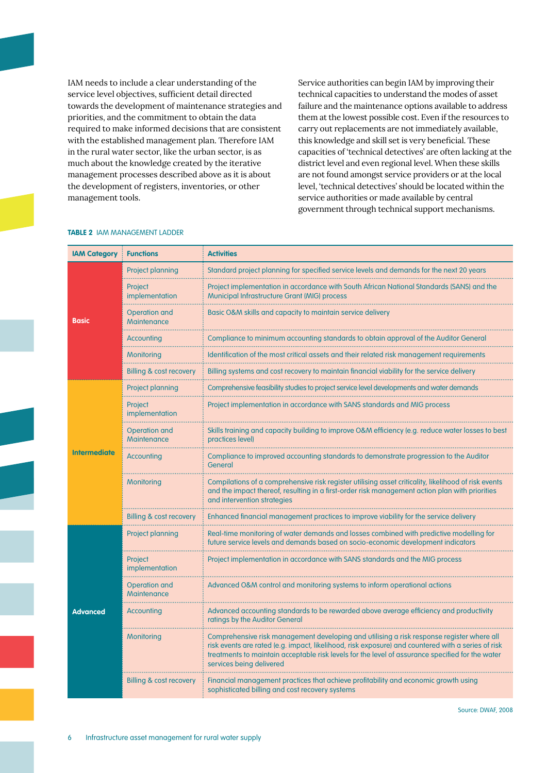IAM needs to include a clear understanding of the service level objectives, sufficient detail directed towards the development of maintenance strategies and priorities, and the commitment to obtain the data required to make informed decisions that are consistent with the established management plan. Therefore IAM in the rural water sector, like the urban sector, is as much about the knowledge created by the iterative management processes described above as it is about the development of registers, inventories, or other management tools.

Service authorities can begin IAM by improving their technical capacities to understand the modes of asset failure and the maintenance options available to address them at the lowest possible cost. Even if the resources to carry out replacements are not immediately available, this knowledge and skill set is very beneficial. These capacities of 'technical detectives' are often lacking at the district level and even regional level. When these skills are not found amongst service providers or at the local level, 'technical detectives' should be located within the service authorities or made available by central government through technical support mechanisms.

| <b>IAM Category</b> | <b>Functions</b>                         | <b>Activities</b>                                                                                                                                                                                                                                                                                                               |
|---------------------|------------------------------------------|---------------------------------------------------------------------------------------------------------------------------------------------------------------------------------------------------------------------------------------------------------------------------------------------------------------------------------|
|                     | <b>Project planning</b>                  | Standard project planning for specified service levels and demands for the next 20 years                                                                                                                                                                                                                                        |
|                     | Project<br>implementation                | Project implementation in accordance with South African National Standards (SANS) and the<br><b>Municipal Infrastructure Grant (MIG) process</b>                                                                                                                                                                                |
| <b>Basic</b>        | <b>Operation and</b><br>Maintenance<br>. | Basic O&M skills and capacity to maintain service delivery                                                                                                                                                                                                                                                                      |
|                     | Accounting                               | Compliance to minimum accountina standards to obtain approval of the Auditor Genera                                                                                                                                                                                                                                             |
|                     | Monitoring                               | Identification of the most critical assets and their related risk management requirements                                                                                                                                                                                                                                       |
|                     | <b>Billing &amp; cost recovery</b>       | Billing systems and cost recovery to maintain financial viability for the service delivery                                                                                                                                                                                                                                      |
|                     | <b>Project planning</b>                  | Comprehensive feasibility studies to project service level developments and water demands                                                                                                                                                                                                                                       |
|                     | Project<br>implementation                | Project implementation in accordance with SANS standards and MIG process                                                                                                                                                                                                                                                        |
|                     | <b>Operation and</b><br>Maintenance      | Skills training and capacity building to improve O&M efficiency (e.g. reduce water losses to best<br>practices level)                                                                                                                                                                                                           |
| <b>Intermediate</b> | Accounting                               | Compliance to improved accounting standards to demonstrate progression to the Auditor<br>General                                                                                                                                                                                                                                |
|                     | Monitoring                               | Compilations of a comprehensive risk register utilising asset criticality, likelihood of risk events<br>and the impact thereof, resulting in a first-order risk management action plan with priorities<br>and intervention strategies                                                                                           |
|                     | Billing & cost recovery                  | Enhanced financial management practices to improve viability for the service delivery                                                                                                                                                                                                                                           |
|                     | <b>Project planning</b>                  | Real-time monitoring of water demands and losses combined with predictive modelling for<br>future service levels and demands based on socio-economic development indicators                                                                                                                                                     |
|                     | Project<br>implementation                | Project implementation in accordance with SANS standards and the MIG process                                                                                                                                                                                                                                                    |
|                     | <b>Operation and</b><br>Maintenance      | Advanced O&M control and monitoring systems to inform operational actions                                                                                                                                                                                                                                                       |
| <b>Advanced</b>     | Accounting                               | Advanced accounting standards to be rewarded above average efficiency and productivity<br>ratings by the Auditor General                                                                                                                                                                                                        |
|                     | Monitoring                               | Comprehensive risk management developing and utilising a risk response register where all<br>risk events are rated (e.g. impact, likelihood, risk exposure) and countered with a series of risk<br>treatments to maintain acceptable risk levels for the level of assurance specified for the water<br>services being delivered |
|                     | Billing & cost recovery                  | Financial management practices that achieve profitability and economic growth using<br>sophisticated billing and cost recovery systems                                                                                                                                                                                          |

#### **TABLE 2** IAM MANAGEMENT LADDER

Source: DWAF, 2008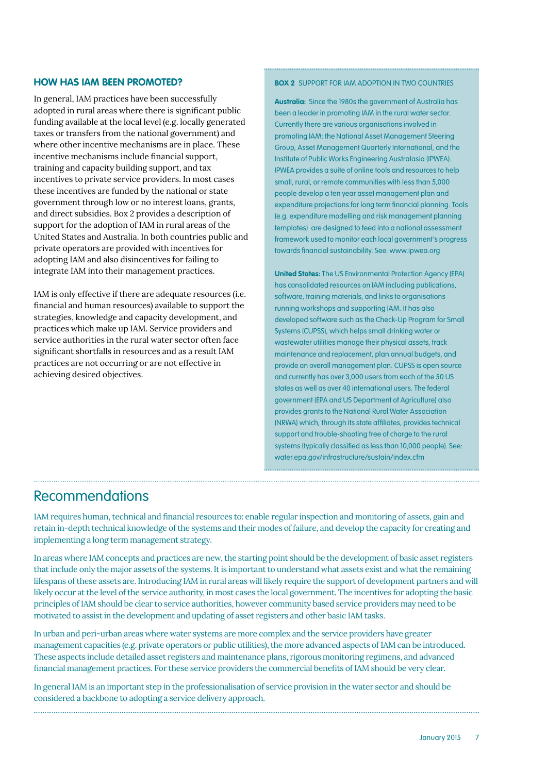#### **HOW HAS IAM BEEN PROMOTED?**

In general, IAM practices have been successfully adopted in rural areas where there is significant public funding available at the local level (e.g. locally generated taxes or transfers from the national government) and where other incentive mechanisms are in place. These incentive mechanisms include financial support, training and capacity building support, and tax incentives to private service providers. In most cases these incentives are funded by the national or state government through low or no interest loans, grants, and direct subsidies. Box 2 provides a description of support for the adoption of IAM in rural areas of the United States and Australia. In both countries public and private operators are provided with incentives for adopting IAM and also disincentives for failing to integrate IAM into their management practices.

IAM is only effective if there are adequate resources (i.e. financial and human resources) available to support the strategies, knowledge and capacity development, and practices which make up IAM. Service providers and service authorities in the rural water sector often face significant shortfalls in resources and as a result IAM practices are not occurring or are not effective in achieving desired objectives.

#### **BOX 2** SUPPORT FOR IAM ADOPTION IN TWO COUNTRIES

**Australia:** Since the 1980s the government of Australia has been a leader in promoting IAM in the rural water sector. Currently there are various organisations involved in promoting IAM: the National Asset Management Steering Group, Asset Management Quarterly International, and the Institute of Public Works Engineering Australasia (IPWEA). IPWEA provides a suite of online tools and resources to help small, rural, or remote communities with less than 5,000 people develop a ten year asset management plan and expenditure projections for long term financial planning. Tools (e.g. expenditure modelling and risk management planning templates) are designed to feed into a national assessment framework used to monitor each local government's progress towards financial sustainability. See: [www.ipwea.org](http://www.ipwea.org)

**United States:** The US Environmental Protection Agency (EPA) has consolidated resources on IAM including publications, software, training materials, and links to organisations running workshops and supporting IAM. It has also developed software such as the Check-Up Program for Small Systems (CUPSS), which helps small drinking water or wastewater utilities manage their physical assets, track maintenance and replacement, plan annual budgets, and provide an overall management plan. CUPSS is open source and currently has over 3,000 users from each of the 50 US states as well as over 40 international users. The federal government (EPA and US Department of Agriculture) also provides grants to the National Rural Water Association (NRWA) which, through its state affiliates, provides technical support and trouble-shooting free of charge to the rural systems (typically classified as less than 10,000 people). See: [water.epa.gov/infrastructure/sustain/index.cfm](http://water.epa.gov/infrastructure/sustain/index.cfm)

### Recommendations

IAM requires human, technical and financial resources to: enable regular inspection and monitoring of assets, gain and retain in-depth technical knowledge of the systems and their modes of failure, and develop the capacity for creating and implementing a long term management strategy.

In areas where IAM concepts and practices are new, the starting point should be the development of basic asset registers that include only the major assets of the systems. It is important to understand what assets exist and what the remaining lifespans of these assets are. Introducing IAM in rural areas will likely require the support of development partners and will likely occur at the level of the service authority, in most cases the local government. The incentives for adopting the basic principles of IAM should be clear to service authorities, however community based service providers may need to be motivated to assist in the development and updating of asset registers and other basic IAM tasks.

In urban and peri-urban areas where water systems are more complex and the service providers have greater management capacities (e.g. private operators or public utilities), the more advanced aspects of IAM can be introduced. These aspects include detailed asset registers and maintenance plans, rigorous monitoring regimens, and advanced financial management practices. For these service providers the commercial benefits of IAM should be very clear.

In general IAM is an important step in the professionalisation of service provision in the water sector and should be considered a backbone to adopting a service delivery approach.